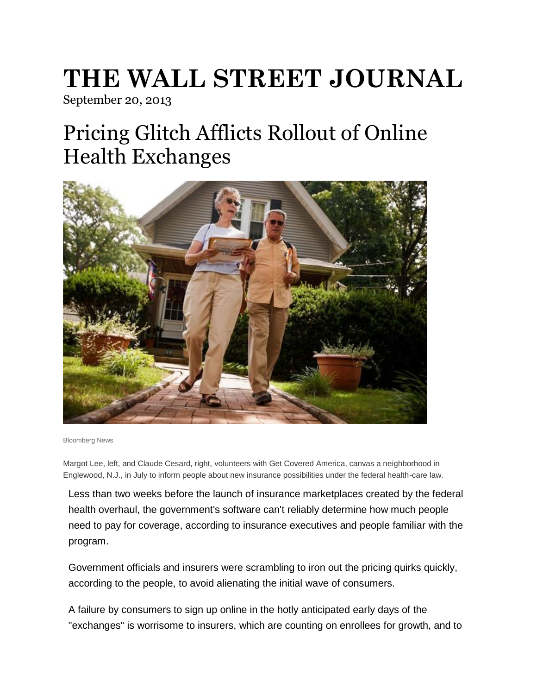## **THE WALL STREET JOURNAL** September 20, 2013

## Pricing Glitch Afflicts Rollout of Online Health Exchanges



Bloomberg News

Margot Lee, left, and Claude Cesard, right, volunteers with Get Covered America, canvas a neighborhood in Englewood, N.J., in July to inform people about new insurance possibilities under the federal health-care law.

Less than two weeks before the launch of insurance marketplaces created by the federal health overhaul, the government's software can't reliably determine how much people need to pay for coverage, according to insurance executives and people familiar with the program.

Government officials and insurers were scrambling to iron out the pricing quirks quickly, according to the people, to avoid alienating the initial wave of consumers.

A failure by consumers to sign up online in the hotly anticipated early days of the "exchanges" is worrisome to insurers, which are counting on enrollees for growth, and to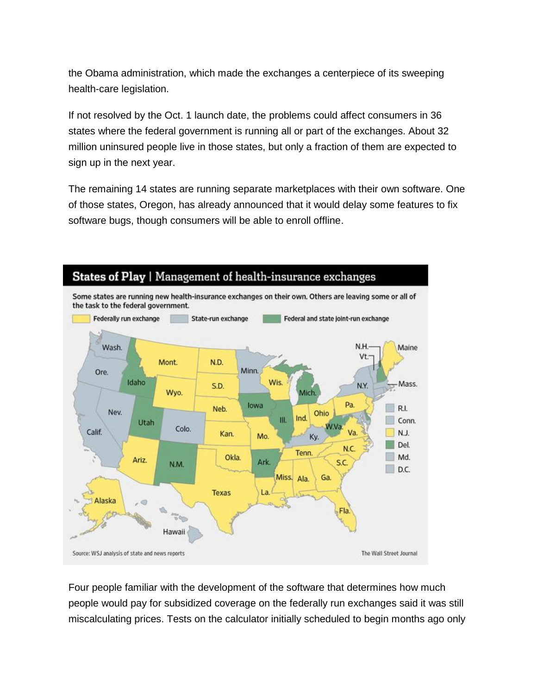the Obama administration, which made the exchanges a centerpiece of its sweeping health-care legislation.

If not resolved by the Oct. 1 launch date, the problems could affect consumers in 36 states where the federal government is running all or part of the exchanges. About 32 million uninsured people live in those states, but only a fraction of them are expected to sign up in the next year.

The remaining 14 states are running separate marketplaces with their own software. One of those states, Oregon, has already announced that it would delay some features to fix software bugs, though consumers will be able to enroll offline.



Four people familiar with the development of the software that determines how much people would pay for subsidized coverage on the federally run exchanges said it was still miscalculating prices. Tests on the calculator initially scheduled to begin months ago only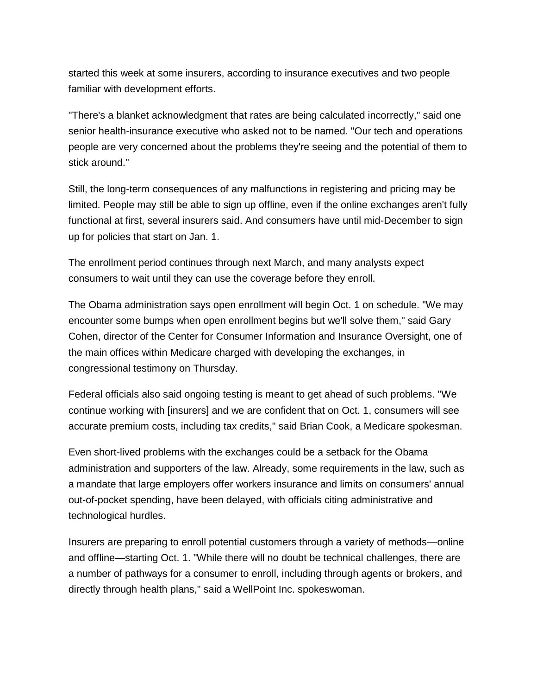started this week at some insurers, according to insurance executives and two people familiar with development efforts.

"There's a blanket acknowledgment that rates are being calculated incorrectly," said one senior health-insurance executive who asked not to be named. "Our tech and operations people are very concerned about the problems they're seeing and the potential of them to stick around."

Still, the long-term consequences of any malfunctions in registering and pricing may be limited. People may still be able to sign up offline, even if the online exchanges aren't fully functional at first, several insurers said. And consumers have until mid-December to sign up for policies that start on Jan. 1.

The enrollment period continues through next March, and many analysts expect consumers to wait until they can use the coverage before they enroll.

The Obama administration says open enrollment will begin Oct. 1 on schedule. "We may encounter some bumps when open enrollment begins but we'll solve them," said Gary Cohen, director of the Center for Consumer Information and Insurance Oversight, one of the main offices within Medicare charged with developing the exchanges, in congressional testimony on Thursday.

Federal officials also said ongoing testing is meant to get ahead of such problems. "We continue working with [insurers] and we are confident that on Oct. 1, consumers will see accurate premium costs, including tax credits," said Brian Cook, a Medicare spokesman.

Even short-lived problems with the exchanges could be a setback for the Obama administration and supporters of the law. Already, some requirements in the law, such as a mandate that large employers offer workers insurance and limits on consumers' annual out-of-pocket spending, have been delayed, with officials citing administrative and technological hurdles.

Insurers are preparing to enroll potential customers through a variety of methods—online and offline—starting Oct. 1. "While there will no doubt be technical challenges, there are a number of pathways for a consumer to enroll, including through agents or brokers, and directly through health plans," said a WellPoint Inc. spokeswoman.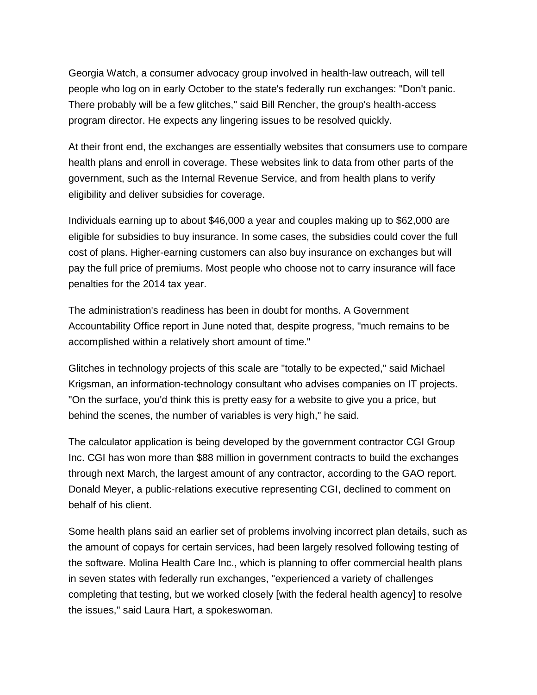Georgia Watch, a consumer advocacy group involved in health-law outreach, will tell people who log on in early October to the state's federally run exchanges: "Don't panic. There probably will be a few glitches," said Bill Rencher, the group's health-access program director. He expects any lingering issues to be resolved quickly.

At their front end, the exchanges are essentially websites that consumers use to compare health plans and enroll in coverage. These websites link to data from other parts of the government, such as the Internal Revenue Service, and from health plans to verify eligibility and deliver subsidies for coverage.

Individuals earning up to about \$46,000 a year and couples making up to \$62,000 are eligible for subsidies to buy insurance. In some cases, the subsidies could cover the full cost of plans. Higher-earning customers can also buy insurance on exchanges but will pay the full price of premiums. Most people who choose not to carry insurance will face penalties for the 2014 tax year.

The administration's readiness has been in doubt for months. A Government Accountability Office report in June noted that, despite progress, "much remains to be accomplished within a relatively short amount of time."

Glitches in technology projects of this scale are "totally to be expected," said Michael Krigsman, an information-technology consultant who advises companies on IT projects. "On the surface, you'd think this is pretty easy for a website to give you a price, but behind the scenes, the number of variables is very high," he said.

The calculator application is being developed by the government contractor CGI Group Inc. CGI has won more than \$88 million in government contracts to build the exchanges through next March, the largest amount of any contractor, according to the GAO report. Donald Meyer, a public-relations executive representing CGI, declined to comment on behalf of his client.

Some health plans said an earlier set of problems involving incorrect plan details, such as the amount of copays for certain services, had been largely resolved following testing of the software. Molina Health Care Inc., which is planning to offer commercial health plans in seven states with federally run exchanges, "experienced a variety of challenges completing that testing, but we worked closely [with the federal health agency] to resolve the issues," said Laura Hart, a spokeswoman.